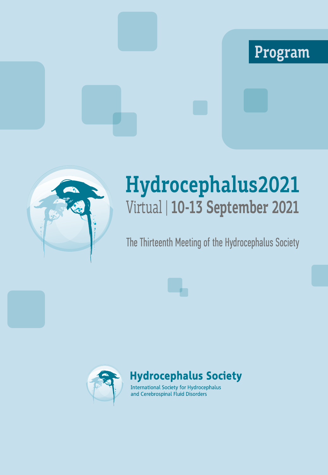# **Program**



# **Hydrocephalus2021** Virtual | **10-13 September 2021**

# The Thirteenth Meeting of the Hydrocephalus Society



**Hydrocephalus Society** 

**International Society for Hydrocephalus** and Cerebrospinal Fluid Disorders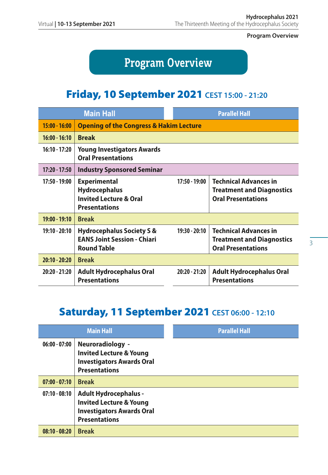**Program Overview**

# **Program Overview**

## Friday, 10 September 2021 **CEST 15:00 - 21:20**

| <b>Main Hall</b> |                                                                                                          |                 | <b>Parallel Hall</b>                                                                          |  |
|------------------|----------------------------------------------------------------------------------------------------------|-----------------|-----------------------------------------------------------------------------------------------|--|
| $15:00 - 16:00$  | <b>Opening of the Congress &amp; Hakim Lecture</b>                                                       |                 |                                                                                               |  |
| $16:00 - 16:10$  | <b>Break</b>                                                                                             |                 |                                                                                               |  |
| $16:10 - 17:20$  | <b>Young Investigators Awards</b><br><b>Oral Presentations</b>                                           |                 |                                                                                               |  |
| $17:20 - 17:50$  | <b>Industry Sponsored Seminar</b>                                                                        |                 |                                                                                               |  |
| $17:50 - 19:00$  | <b>Experimental</b><br><b>Hydrocephalus</b><br><b>Invited Lecture &amp; Oral</b><br><b>Presentations</b> | $17:50 - 19:00$ | <b>Technical Advances in</b><br><b>Treatment and Diagnostics</b><br><b>Oral Presentations</b> |  |
| $19:00 - 19:10$  | <b>Break</b>                                                                                             |                 |                                                                                               |  |
| $19:10 - 20:10$  | <b>Hydrocephalus Society S &amp;</b><br><b>EANS Joint Session - Chiari</b><br><b>Round Table</b>         | $19:30 - 20:10$ | <b>Technical Advances in</b><br><b>Treatment and Diagnostics</b><br><b>Oral Presentations</b> |  |
| $20:10 - 20:20$  | <b>Break</b>                                                                                             |                 |                                                                                               |  |
| $20:20 - 21:20$  | <b>Adult Hydrocephalus Oral</b><br><b>Presentations</b>                                                  | $20:20 - 21:20$ | <b>Adult Hydrocephalus Oral</b><br><b>Presentations</b>                                       |  |

## Saturday, 11 September 2021 **CEST 06:00 - 12:10**

|                 | <b>Main Hall</b>                                                                                                               | <b>Parallel Hall</b> |  |
|-----------------|--------------------------------------------------------------------------------------------------------------------------------|----------------------|--|
| $06:00 - 07:00$ | Neuroradiology -<br><b>Invited Lecture &amp; Young</b><br><b>Investigators Awards Oral</b><br><b>Presentations</b>             |                      |  |
| $07:00 - 07:10$ | <b>Break</b>                                                                                                                   |                      |  |
| $07:10 - 08:10$ | <b>Adult Hydrocephalus -</b><br><b>Invited Lecture &amp; Young</b><br><b>Investigators Awards Oral</b><br><b>Presentations</b> |                      |  |
| $08:10 - 08:20$ | <b>Break</b>                                                                                                                   |                      |  |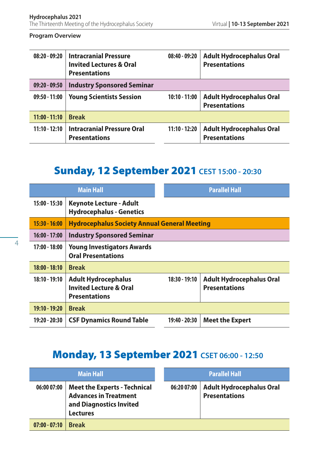#### **Program Overview**

| $08:20 - 09:20$ | <b>Intracranial Pressure</b><br><b>Invited Lectures &amp; Oral</b><br><b>Presentations</b> | $08:40 - 09:20$ | <b>Adult Hydrocephalus Oral</b><br><b>Presentations</b> |
|-----------------|--------------------------------------------------------------------------------------------|-----------------|---------------------------------------------------------|
| $09:20 - 09:50$ | <b>Industry Sponsored Seminar</b>                                                          |                 |                                                         |
| $09:50 - 11:00$ | <b>Young Scientists Session</b>                                                            | $10:10 - 11:00$ | <b>Adult Hydrocephalus Oral</b><br><b>Presentations</b> |
| $11:00 - 11:10$ | <b>Break</b>                                                                               |                 |                                                         |
| $11:10 - 12:10$ | <b>Intracranial Pressure Oral</b><br><b>Presentations</b>                                  | $11:10 - 12:20$ | <b>Adult Hydrocephalus Oral</b><br><b>Presentations</b> |

## Sunday, 12 September 2021 **CEST 15:00 - 20:30**

| <b>Main Hall</b> |                                                                                         |  | <b>Parallel Hall</b> |                                                         |
|------------------|-----------------------------------------------------------------------------------------|--|----------------------|---------------------------------------------------------|
| 15:00 - 15:30    | <b>Keynote Lecture - Adult</b><br><b>Hydrocephalus - Genetics</b>                       |  |                      |                                                         |
| $15:30 - 16:00$  | <b>Hydrocephalus Society Annual General Meeting</b>                                     |  |                      |                                                         |
| $16:00 - 17:00$  | <b>Industry Sponsored Seminar</b>                                                       |  |                      |                                                         |
| $17:00 - 18:00$  | <b>Young Investigators Awards</b><br><b>Oral Presentations</b>                          |  |                      |                                                         |
| $18:00 - 18:10$  | <b>Break</b>                                                                            |  |                      |                                                         |
| $18:10 - 19:10$  | <b>Adult Hydrocephalus</b><br><b>Invited Lecture &amp; Oral</b><br><b>Presentations</b> |  | 18:30 - 19:10        | <b>Adult Hydrocephalus Oral</b><br><b>Presentations</b> |
| 19:10 - 19:20    | <b>Break</b>                                                                            |  |                      |                                                         |
| 19:20 - 20:30    | <b>CSF Dynamics Round Table</b>                                                         |  | 19:40 - 20:30        | <b>Meet the Expert</b>                                  |

## Monday, 13 September 2021 **CSET 06:00 - 12:50**

| <b>Main Hall</b> |                                                                                                                   | <b>Parallel Hall</b> |                                                         |
|------------------|-------------------------------------------------------------------------------------------------------------------|----------------------|---------------------------------------------------------|
| 06:0007:00       | <b>Meet the Experts - Technical</b><br><b>Advances in Treatment</b><br>and Diagnostics Invited<br><b>Lectures</b> | 06:20 07:00          | <b>Adult Hydrocephalus Oral</b><br><b>Presentations</b> |
| $07:00 - 07:10$  | <b>Break</b>                                                                                                      |                      |                                                         |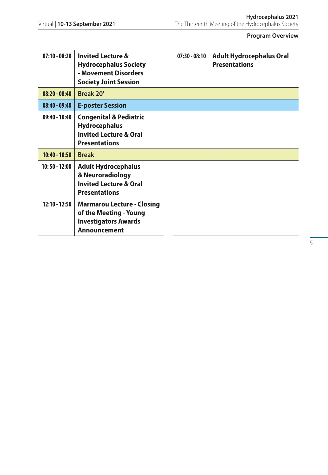#### **Program Overview**

| $07:10 - 08:20$ | <b>Invited Lecture &amp;</b><br><b>Hydrocephalus Society</b><br>- Movement Disorders<br><b>Society Joint Session</b>   | $07:30 - 08:10$ | <b>Adult Hydrocephalus Oral</b><br><b>Presentations</b> |
|-----------------|------------------------------------------------------------------------------------------------------------------------|-----------------|---------------------------------------------------------|
| $08:20 - 08:40$ | Break 20'                                                                                                              |                 |                                                         |
| $08:40 - 09:40$ | <b>E-poster Session</b>                                                                                                |                 |                                                         |
| $09:40 - 10:40$ | <b>Congenital &amp; Pediatric</b><br><b>Hydrocephalus</b><br><b>Invited Lecture &amp; Oral</b><br><b>Presentations</b> |                 |                                                         |
| $10:40 - 10:50$ | <b>Break</b>                                                                                                           |                 |                                                         |
| 10:50 - 12:00   | <b>Adult Hydrocephalus</b><br>& Neuroradiology<br><b>Invited Lecture &amp; Oral</b><br><b>Presentations</b>            |                 |                                                         |
| $12:10 - 12:50$ | <b>Marmarou Lecture - Closing</b><br>of the Meeting - Young<br><b>Investigators Awards</b><br><b>Announcement</b>      |                 |                                                         |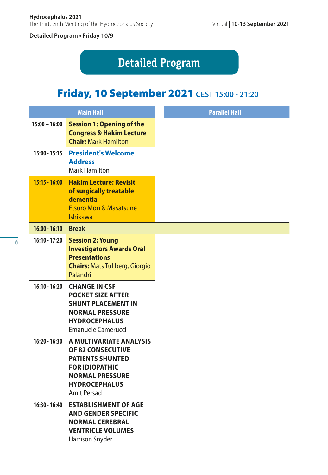# **Detailed Program**

## Friday, 10 September 2021 **CEST 15:00 - 21:20**

|                 | <b>Main Hall</b>                                                                                                                                                         |
|-----------------|--------------------------------------------------------------------------------------------------------------------------------------------------------------------------|
| $15:00 - 16:00$ | <b>Session 1: Opening of the</b><br><b>Congress &amp; Hakim Lecture</b><br><b>Chair: Mark Hamilton</b>                                                                   |
| $15:00 - 15:15$ | <b>President's Welcome</b><br><b>Address</b><br><b>Mark Hamilton</b>                                                                                                     |
| $15:15 - 16:00$ | <b>Hakim Lecture: Revisit</b><br>of surgically treatable<br>dementia<br><b>Etsuro Mori &amp; Masatsune</b><br><b>Ishikawa</b>                                            |
| $16:00 - 16:10$ | <b>Break</b>                                                                                                                                                             |
| $16:10 - 17:20$ | <b>Session 2: Young</b><br><b>Investigators Awards Oral</b><br><b>Presentations</b><br><b>Chairs: Mats Tullberg, Giorgio</b><br>Palandri                                 |
| $16:10 - 16:20$ | <b>CHANGE IN CSF</b><br><b>POCKET SIZE AFTER</b><br><b>SHUNT PLACEMENT IN</b><br><b>NORMAL PRESSURE</b><br><b>HYDROCEPHALUS</b><br><b>Emanuele Camerucci</b>             |
| $16:20 - 16:30$ | A MULTIVARIATE ANALYSIS<br><b>OF 82 CONSECUTIVE</b><br><b>PATIENTS SHUNTED</b><br><b>FOR IDIOPATHIC</b><br><b>NORMAL PRESSURE</b><br><b>HYDROCEPHALUS</b><br>Amit Persad |
| $16:30 - 16:40$ | <b>ESTABLISHMENT OF AGE</b><br><b>AND GENDER SPECIFIC</b><br><b>NORMAL CEREBRAL</b><br><b>VENTRICLE VOLUMES</b><br><b>Harrison Snyder</b>                                |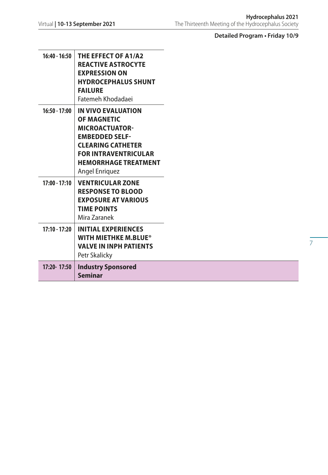| $16:40 - 16:50$ | THE EFFECT OF A1/A2<br><b>REACTIVE ASTROCYTE</b><br><b>EXPRESSION ON</b><br><b>HYDROCEPHALUS SHUNT</b><br><b>FAILURE</b><br>Fatemeh Khodadaei                                                          |
|-----------------|--------------------------------------------------------------------------------------------------------------------------------------------------------------------------------------------------------|
| $16:50 - 17:00$ | IN VIVO EVALUATION<br><b>OF MAGNETIC</b><br><b>MICROACTUATOR-</b><br><b>EMBEDDED SELF-</b><br><b>CLEARING CATHETER</b><br><b>FOR INTRAVENTRICULAR</b><br><b>HEMORRHAGE TREATMENT</b><br>Angel Enriquez |
| $17:00 - 17:10$ | <b>VENTRICULAR ZONE</b><br><b>RESPONSE TO BLOOD</b><br><b>EXPOSURE AT VARIOUS</b><br><b>TIME POINTS</b><br>Mira Zaranek                                                                                |
| $17:10 - 17:20$ | <b>INITIAL EXPERIENCES</b><br>WITH MIETHKE M.BLUE®<br><b>VALVE IN INPH PATIENTS</b><br>Petr Skalicky                                                                                                   |
| 17:20-17:50     | <b>Industry Sponsored</b><br><b>Seminar</b>                                                                                                                                                            |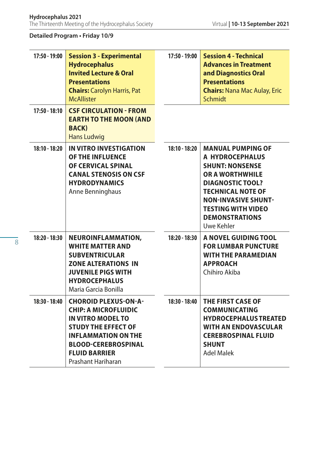| 17:50 - 19:00   | <b>Session 3 - Experimental</b><br><b>Hydrocephalus</b><br><b>Invited Lecture &amp; Oral</b><br><b>Presentations</b><br><b>Chairs: Carolyn Harris, Pat</b><br><b>McAllister</b>                                                | 17:50 - 19:00 | <b>Session 4 - Technical</b><br><b>Advances in Treatment</b><br>and Diagnostics Oral<br><b>Presentations</b><br><b>Chairs: Nana Mac Aulay, Eric</b><br><b>Schmidt</b>                                                                                    |
|-----------------|--------------------------------------------------------------------------------------------------------------------------------------------------------------------------------------------------------------------------------|---------------|----------------------------------------------------------------------------------------------------------------------------------------------------------------------------------------------------------------------------------------------------------|
| $17:50 - 18:10$ | <b>CSF CIRCULATION - FROM</b><br><b>EARTH TO THE MOON (AND</b><br><b>BACK</b> )<br><b>Hans Ludwig</b>                                                                                                                          |               |                                                                                                                                                                                                                                                          |
| 18:10 - 18:20   | IN VITRO INVESTIGATION<br><b>OF THE INFLUENCE</b><br>OF CERVICAL SPINAL<br><b>CANAL STENOSIS ON CSF</b><br><b>HYDRODYNAMICS</b><br>Anne Benninghaus                                                                            | 18:10 - 18:20 | <b>MANUAL PUMPING OF</b><br>A HYDROCEPHALUS<br><b>SHUNT: NONSENSE</b><br><b>OR A WORTHWHILE</b><br><b>DIAGNOSTIC TOOL?</b><br><b>TECHNICAL NOTE OF</b><br><b>NON-INVASIVE SHUNT-</b><br><b>TESTING WITH VIDEO</b><br><b>DEMONSTRATIONS</b><br>Uwe Kehler |
| 18:20 - 18:30   | NEUROINFLAMMATION,<br><b>WHITE MATTER AND</b><br><b>SUBVENTRICULAR</b><br><b>ZONE ALTERATIONS IN</b><br><b>JUVENILE PIGS WITH</b><br><b>HYDROCEPHALUS</b><br>Maria Garcia Bonilla                                              | 18:20 - 18:30 | A NOVEL GUIDING TOOL<br><b>FOR LUMBAR PUNCTURE</b><br><b>WITH THE PARAMEDIAN</b><br><b>APPROACH</b><br>Chihiro Akiba                                                                                                                                     |
| 18:30 - 18:40   | <b>CHOROID PLEXUS-ON-A-</b><br><b>CHIP: A MICROFLUIDIC</b><br><b>IN VITRO MODEL TO</b><br><b>STUDY THE EFFECT OF</b><br><b>INFLAMMATION ON THE</b><br><b>BLOOD-CEREBROSPINAL</b><br><b>FLUID BARRIER</b><br>Prashant Hariharan | 18:30 - 18:40 | THE FIRST CASE OF<br><b>COMMUNICATING</b><br><b>HYDROCEPHALUS TREATED</b><br><b>WITH AN ENDOVASCULAR</b><br><b>CEREBROSPINAL FLUID</b><br><b>SHUNT</b><br><b>Adel Malek</b>                                                                              |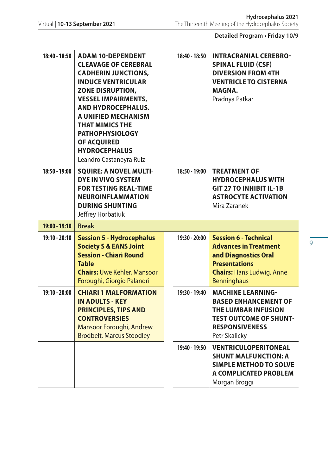| 18:40 - 18:50   | <b>ADAM 10-DEPENDENT</b><br><b>CLEAVAGE OF CEREBRAL</b><br><b>CADHERIN JUNCTIONS,</b><br><b>INDUCE VENTRICULAR</b><br><b>ZONE DISRUPTION,</b><br><b>VESSEL IMPAIRMENTS,</b><br>AND HYDROCEPHALUS.<br>A UNIFIED MECHANISM<br><b>THAT MIMICS THE</b><br><b>PATHOPHYSIOLOGY</b><br>OF ACQUIRED<br><b>HYDROCEPHALUS</b><br>Leandro Castaneyra Ruiz | 18:40 - 18:50 | <b>INTRACRANIAL CEREBRO-</b><br><b>SPINAL FLUID (CSF)</b><br><b>DIVERSION FROM 4TH</b><br><b>VENTRICLE TO CISTERNA</b><br>MAGNA.<br>Pradnya Patkar                     |
|-----------------|------------------------------------------------------------------------------------------------------------------------------------------------------------------------------------------------------------------------------------------------------------------------------------------------------------------------------------------------|---------------|------------------------------------------------------------------------------------------------------------------------------------------------------------------------|
| $18:50 - 19:00$ | <b>SQUIRE: A NOVEL MULTI-</b><br><b>DYE IN VIVO SYSTEM</b><br><b>FOR TESTING REAL-TIME</b><br><b>NEUROINFLAMMATION</b><br><b>DURING SHUNTING</b><br>Jeffrey Horbatiuk                                                                                                                                                                          | 18:50 - 19:00 | <b>TREATMENT OF</b><br><b>HYDROCEPHALUS WITH</b><br><b>GIT 27 TO INHIBIT IL-1B</b><br><b>ASTROCYTE ACTIVATION</b><br>Mira Zaranek                                      |
| $19:00 - 19:10$ | <b>Break</b>                                                                                                                                                                                                                                                                                                                                   |               |                                                                                                                                                                        |
| $19:10 - 20:10$ | <b>Session 5 - Hydrocephalus</b><br><b>Society S &amp; EANS Joint</b><br><b>Session - Chiari Round</b><br><b>Table</b><br><b>Chairs: Uwe Kehler, Mansoor</b><br>Foroughi, Giorgio Palandri                                                                                                                                                     | 19:30 - 20:00 | <b>Session 6 - Technical</b><br><b>Advances in Treatment</b><br>and Diagnostics Oral<br><b>Presentations</b><br><b>Chairs: Hans Ludwig, Anne</b><br><b>Benninghaus</b> |
| $19:10 - 20:00$ | <b>CHIARI 1 MALFORMATION</b><br><b>IN ADULTS - KEY</b><br><b>PRINCIPLES, TIPS AND</b><br><b>CONTROVERSIES</b><br>Mansoor Foroughi, Andrew<br><b>Brodbelt, Marcus Stoodley</b>                                                                                                                                                                  | 19:30 - 19:40 | <b>MACHINE LEARNING-</b><br><b>BASED ENHANCEMENT OF</b><br>THE LUMBAR INFUSION<br><b>TEST OUTCOME OF SHUNT-</b><br><b>RESPONSIVENESS</b><br>Petr Skalicky              |
|                 |                                                                                                                                                                                                                                                                                                                                                | 19:40 - 19:50 | <b>VENTRICULOPERITONEAL</b><br><b>SHUNT MALFUNCTION: A</b><br><b>SIMPLE METHOD TO SOLVE</b><br>A COMPLICATED PROBLEM<br>Morgan Broggi                                  |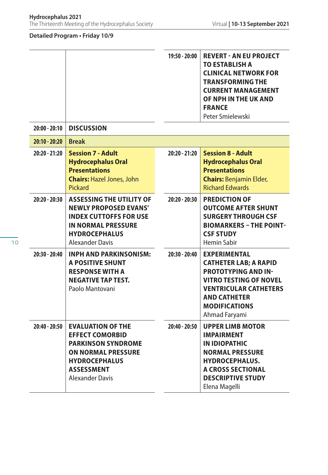|                 |                                                                                                                                                                                     | 19:50 - 20:00   | <b>REVERT - AN EU PROJECT</b><br><b>TO ESTABLISH A</b><br><b>CLINICAL NETWORK FOR</b><br><b>TRANSFORMING THE</b><br><b>CURRENT MANAGEMENT</b><br>OF NPH IN THE UK AND<br><b>FRANCE</b><br>Peter Smielewski         |
|-----------------|-------------------------------------------------------------------------------------------------------------------------------------------------------------------------------------|-----------------|--------------------------------------------------------------------------------------------------------------------------------------------------------------------------------------------------------------------|
| $20:00 - 20:10$ | <b>DISCUSSION</b>                                                                                                                                                                   |                 |                                                                                                                                                                                                                    |
| $20:10 - 20:20$ | <b>Break</b>                                                                                                                                                                        |                 |                                                                                                                                                                                                                    |
| $20:20 - 21:20$ | <b>Session 7 - Adult</b><br><b>Hydrocephalus Oral</b><br><b>Presentations</b><br><b>Chairs: Hazel Jones, John</b><br>Pickard                                                        | $20:20 - 21:20$ | <b>Session 8 - Adult</b><br><b>Hydrocephalus Oral</b><br><b>Presentations</b><br><b>Chairs: Benjamin Elder,</b><br><b>Richard Edwards</b>                                                                          |
| 20:20 - 20:30   | <b>ASSESSING THE UTILITY OF</b><br><b>NEWLY PROPOSED EVANS'</b><br><b>INDEX CUTTOFFS FOR USE</b><br><b>IN NORMAL PRESSURE</b><br><b>HYDROCEPHALUS</b><br>Alexander Davis            | $20:20 - 20:30$ | <b>PREDICTION OF</b><br><b>OUTCOME AFTER SHUNT</b><br><b>SURGERY THROUGH CSF</b><br><b>BIOMARKERS - THE POINT-</b><br><b>CSF STUDY</b><br><b>Hemin Sabir</b>                                                       |
| $20:30 - 20:40$ | <b>INPH AND PARKINSONISM:</b><br>A POSITIVE SHUNT<br><b>RESPONSE WITH A</b><br><b>NEGATIVE TAP TEST.</b><br>Paolo Mantovani                                                         | $20:30 - 20:40$ | <b>EXPERIMENTAL</b><br><b>CATHETER LAB; A RAPID</b><br><b>PROTOTYPING AND IN-</b><br><b>VITRO TESTING OF NOVEL</b><br><b>VENTRICULAR CATHETERS</b><br><b>AND CATHETER</b><br><b>MODIFICATIONS</b><br>Ahmad Faryami |
| $20:40 - 20:50$ | <b>EVALUATION OF THE</b><br><b>EFFECT COMORBID</b><br><b>PARKINSON SYNDROME</b><br><b>ON NORMAL PRESSURE</b><br><b>HYDROCEPHALUS</b><br><b>ASSESSMENT</b><br><b>Alexander Davis</b> | $20:40 - 20:50$ | <b>UPPER LIMB MOTOR</b><br><b>IMPAIRMENT</b><br><b>IN IDIOPATHIC</b><br><b>NORMAL PRESSURE</b><br><b>HYDROCEPHALUS.</b><br><b>A CROSS SECTIONAL</b><br><b>DESCRIPTIVE STUDY</b><br>Elena Magelli                   |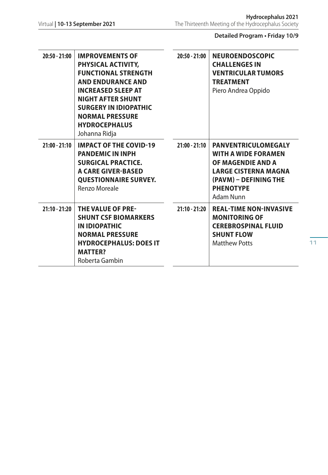| 20:50 - 21:00   | <b>IMPROVEMENTS OF</b><br>PHYSICAL ACTIVITY,<br><b>FUNCTIONAL STRENGTH</b><br><b>AND ENDURANCE AND</b><br><b>INCREASED SLEEP AT</b><br><b>NIGHT AFTER SHUNT</b><br><b>SURGERY IN IDIOPATHIC</b><br><b>NORMAL PRESSURE</b><br><b>HYDROCEPHALUS</b><br>Johanna Ridja | $20:50 - 21:00$ | <b>NEUROENDOSCOPIC</b><br><b>CHALLENGES IN</b><br><b>VENTRICULAR TUMORS</b><br><b>TREATMENT</b><br>Piero Andrea Oppido                                                 |
|-----------------|--------------------------------------------------------------------------------------------------------------------------------------------------------------------------------------------------------------------------------------------------------------------|-----------------|------------------------------------------------------------------------------------------------------------------------------------------------------------------------|
| $21:00 - 21:10$ | <b>IMPACT OF THE COVID-19</b><br><b>PANDEMIC IN INPH</b><br><b>SURGICAL PRACTICE.</b><br><b>A CARE GIVER-BASED</b><br><b>QUESTIONNAIRE SURVEY.</b><br>Renzo Moreale                                                                                                | $21:00 - 21:10$ | <b>PANVENTRICULOMEGALY</b><br><b>WITH A WIDE FORAMEN</b><br>OF MAGENDIE AND A<br><b>LARGE CISTERNA MAGNA</b><br>(PAVM) – DEFINING THE<br><b>PHENOTYPE</b><br>Adam Nunn |
| $21:10 - 21:20$ | THE VALUE OF PRE-<br><b>SHUNT CSF BIOMARKERS</b><br>IN IDIOPATHIC<br><b>NORMAL PRESSURE</b><br><b>HYDROCEPHALUS: DOES IT</b><br><b>MATTER?</b><br>Roberta Gambin                                                                                                   | $21:10 - 21:20$ | <b>REAL-TIME NON-INVASIVE</b><br><b>MONITORING OF</b><br><b>CEREBROSPINAL FLUID</b><br><b>SHUNT FLOW</b><br><b>Matthew Potts</b>                                       |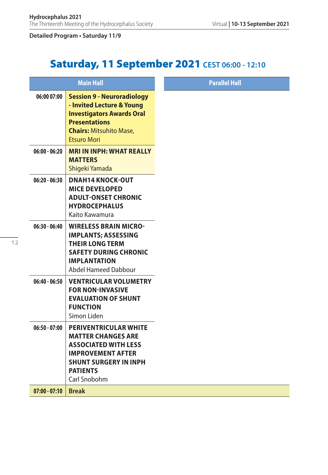# Saturday, 11 September 2021 **CEST 06:00 - 12:10**

|                 | <b>Main Hall</b>                                                                                                                                                                        | <b>Parallel Hall</b> |
|-----------------|-----------------------------------------------------------------------------------------------------------------------------------------------------------------------------------------|----------------------|
| 06:00 07:00     | <b>Session 9 - Neuroradiology</b><br>- Invited Lecture & Young<br><b>Investigators Awards Oral</b><br><b>Presentations</b><br><b>Chairs: Mitsuhito Mase.</b><br><b>Etsuro Mori</b>      |                      |
| $06:00 - 06:20$ | <b>MRI IN INPH: WHAT REALLY</b><br><b>MATTERS</b><br>Shigeki Yamada                                                                                                                     |                      |
| $06:20 - 06:30$ | <b>DNAH14 KNOCK-OUT</b><br><b>MICE DEVELOPED</b><br><b>ADULT-ONSET CHRONIC</b><br><b>HYDROCEPHALUS</b><br>Kaito Kawamura                                                                |                      |
| $06:30 - 06:40$ | <b>WIRELESS BRAIN MICRO-</b><br><b>IMPLANTS; ASSESSING</b><br><b>THEIR LONG TERM</b><br><b>SAFETY DURING CHRONIC</b><br><b>IMPLANTATION</b><br>Abdel Hameed Dabbour                     |                      |
| $06:40 - 06:50$ | <b>VENTRICULAR VOLUMETRY</b><br><b>FOR NON-INVASIVE</b><br><b>EVALUATION OF SHUNT</b><br><b>FUNCTION</b><br>Simon Liden                                                                 |                      |
| $06:50 - 07:00$ | <b>PERIVENTRICULAR WHITE</b><br><b>MATTER CHANGES ARE</b><br><b>ASSOCIATED WITH LESS</b><br><b>IMPROVEMENT AFTER</b><br><b>SHUNT SURGERY IN INPH</b><br><b>PATIENTS</b><br>Carl Snobohm |                      |
| $07:00 - 07:10$ | <b>Break</b>                                                                                                                                                                            |                      |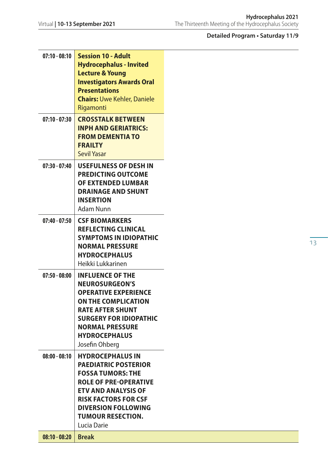| $07:10 - 08:10$ | <b>Session 10 - Adult</b><br><b>Hydrocephalus - Invited</b> |
|-----------------|-------------------------------------------------------------|
|                 | <b>Lecture &amp; Young</b>                                  |
|                 | <b>Investigators Awards Oral</b>                            |
|                 | <b>Presentations</b><br><b>Chairs: Uwe Kehler, Daniele</b>  |
|                 | Rigamonti                                                   |
| $07:10 - 07:30$ | <b>CROSSTALK BETWEEN</b>                                    |
|                 | <b>INPH AND GERIATRICS:</b>                                 |
|                 | <b>FROM DEMENTIA TO</b><br><b>FRAILTY</b>                   |
|                 | <b>Sevil Yasar</b>                                          |
| $07:30 - 07:40$ | <b>USEFULNESS OF DESH IN</b>                                |
|                 | <b>PREDICTING OUTCOME</b>                                   |
|                 | OF EXTENDED LUMBAR<br><b>DRAINAGE AND SHUNT</b>             |
|                 | <b>INSERTION</b>                                            |
|                 | Adam Nunn                                                   |
| $07:40 - 07:50$ | <b>CSF BIOMARKERS</b>                                       |
|                 | <b>REFLECTING CLINICAL</b>                                  |
|                 | <b>SYMPTOMS IN IDIOPATHIC</b><br><b>NORMAL PRESSURE</b>     |
|                 | <b>HYDROCEPHALUS</b>                                        |
|                 | Heikki Lukkarinen                                           |
| $07:50 - 08:00$ | <b>INFLUENCE OF THE</b>                                     |
|                 | <b>NEUROSURGEON'S</b>                                       |
|                 | <b>OPERATIVE EXPERIENCE</b><br>ON THE COMPLICATION          |
|                 | <b>RATE AFTER SHUNT</b>                                     |
|                 | <b>SURGERY FOR IDIOPATHIC</b>                               |
|                 | <b>NORMAL PRESSURE</b>                                      |
|                 | <b>HYDROCEPHALUS</b>                                        |
|                 | Josefin Ohberg                                              |
| $08:00 - 08:10$ | <b>HYDROCEPHALUS IN</b><br><b>PAEDIATRIC POSTERIOR</b>      |
|                 | <b>FOSSA TUMORS: THE</b>                                    |
|                 | <b>ROLE OF PRE-OPERATIVE</b>                                |
|                 | <b>ETV AND ANALYSIS OF</b>                                  |
|                 | <b>RISK FACTORS FOR CSF</b><br><b>DIVERSION FOLLOWING</b>   |
|                 | <b>TUMOUR RESECTION.</b>                                    |
|                 | Lucia Darie                                                 |
| $08:10 - 08:20$ | <b>Break</b>                                                |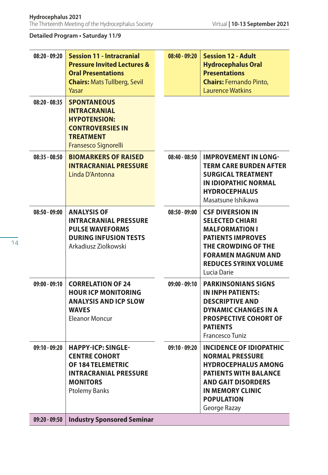| $08:20 - 09:20$ | <b>Session 11 - Intracranial</b><br><b>Pressure Invited Lectures &amp;</b><br><b>Oral Presentations</b><br><b>Chairs: Mats Tullberg, Sevil</b><br>Yasar  | $08:40 - 09:20$ | <b>Session 12 - Adult</b><br><b>Hydrocephalus Oral</b><br><b>Presentations</b><br><b>Chairs: Fernando Pinto.</b><br><b>Laurence Watkins</b>                                                                         |
|-----------------|----------------------------------------------------------------------------------------------------------------------------------------------------------|-----------------|---------------------------------------------------------------------------------------------------------------------------------------------------------------------------------------------------------------------|
| $08:20 - 08:35$ | <b>SPONTANEOUS</b><br><b>INTRACRANIAL</b><br><b>HYPOTENSION:</b><br><b>CONTROVERSIES IN</b><br><b>TREATMENT</b><br>Fransesco Signorelli                  |                 |                                                                                                                                                                                                                     |
| $08:35 - 08:50$ | <b>BIOMARKERS OF RAISED</b><br><b>INTRACRANIAL PRESSURE</b><br>Linda D'Antonna                                                                           | $08:40 - 08:50$ | <b>IMPROVEMENT IN LONG-</b><br><b>TERM CARE BURDEN AFTER</b><br><b>SURGICAL TREATMENT</b><br>IN IDIOPATHIC NORMAL<br><b>HYDROCEPHALUS</b><br>Masatsune Ishikawa                                                     |
| $08:50 - 09:00$ | <b>ANALYSIS OF</b><br><b>INTRACRANIAL PRESSURE</b><br><b>PULSE WAVEFORMS</b><br><b>DURING INFUSION TESTS</b><br>Arkadiusz Ziolkowski                     | $08:50 - 09:00$ | <b>CSF DIVERSION IN</b><br><b>SELECTED CHIARI</b><br><b>MALFORMATION I</b><br><b>PATIENTS IMPROVES</b><br>THE CROWDING OF THE<br><b>FORAMEN MAGNUM AND</b><br><b>REDUCES SYRINX VOLUME</b><br>Lucia Darie           |
| $09:00 - 09:10$ | <b>CORRELATION OF 24</b><br><b>HOUR ICP MONITORING</b><br><b>ANALYSIS AND ICP SLOW</b><br><b>WAVES</b><br><b>Eleanor Moncur</b>                          | $09:00 - 09:10$ | <b>PARKINSONIANS SIGNS</b><br>IN INPH PATIENTS:<br><b>DESCRIPTIVE AND</b><br><b>DYNAMIC CHANGES IN A</b><br><b>PROSPECTIVE COHORT OF</b><br><b>PATIENTS</b><br><b>Francesco Tuniz</b>                               |
| 09:10 - 09:20   | <b>HAPPY-ICP: SINGLE-</b><br><b>CENTRE COHORT</b><br><b>OF 184 TELEMETRIC</b><br><b>INTRACRANIAL PRESSURE</b><br><b>MONITORS</b><br><b>Ptolemy Banks</b> | 09:10 - 09:20   | <b>INCIDENCE OF IDIOPATHIC</b><br><b>NORMAL PRESSURE</b><br><b>HYDROCEPHALUS AMONG</b><br><b>PATIENTS WITH BALANCE</b><br><b>AND GAIT DISORDERS</b><br><b>IN MEMORY CLINIC</b><br><b>POPULATION</b><br>George Razay |
| $09:20 - 09:50$ | <b>Industry Sponsored Seminar</b>                                                                                                                        |                 |                                                                                                                                                                                                                     |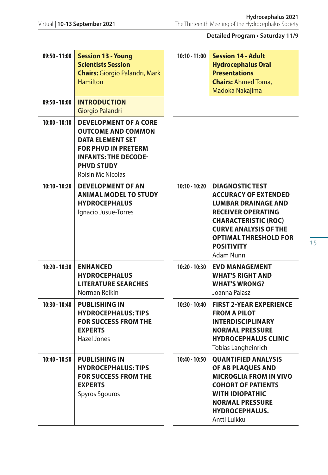| 09:50 - 11:00   | <b>Session 13 - Young</b><br><b>Scientists Session</b><br><b>Chairs: Giorgio Palandri, Mark</b><br><b>Hamilton</b>                                                                                 | $10:10 - 11:00$ | <b>Session 14 - Adult</b><br><b>Hydrocephalus Oral</b><br><b>Presentations</b><br><b>Chairs: Ahmed Toma,</b><br>Madoka Nakajima                                                                                                                   |
|-----------------|----------------------------------------------------------------------------------------------------------------------------------------------------------------------------------------------------|-----------------|---------------------------------------------------------------------------------------------------------------------------------------------------------------------------------------------------------------------------------------------------|
| $09:50 - 10:00$ | <b>INTRODUCTION</b><br>Giorgio Palandri                                                                                                                                                            |                 |                                                                                                                                                                                                                                                   |
| $10:00 - 10:10$ | <b>DEVELOPMENT OF A CORE</b><br><b>OUTCOME AND COMMON</b><br><b>DATA ELEMENT SET</b><br><b>FOR PHVD IN PRETERM</b><br><b>INFANTS: THE DECODE-</b><br><b>PHVD STUDY</b><br><b>Roisin Mc NIcolas</b> |                 |                                                                                                                                                                                                                                                   |
| $10:10 - 10:20$ | <b>DEVELOPMENT OF AN</b><br><b>ANIMAL MODEL TO STUDY</b><br><b>HYDROCEPHALUS</b><br>Ignacio Jusue-Torres                                                                                           | $10:10 - 10:20$ | <b>DIAGNOSTIC TEST</b><br><b>ACCURACY OF EXTENDED</b><br><b>LUMBAR DRAINAGE AND</b><br><b>RECEIVER OPERATING</b><br><b>CHARACTERISTIC (ROC)</b><br><b>CURVE ANALYSIS OF THE</b><br><b>OPTIMAL THRESHOLD FOR</b><br><b>POSITIVITY</b><br>Adam Nunn |
| $10:20 - 10:30$ | <b>ENHANCED</b><br><b>HYDROCEPHALUS</b><br><b>LITERATURE SEARCHES</b><br>Norman Relkin                                                                                                             | $10:20 - 10:30$ | <b>EVD MANAGEMENT</b><br><b>WHAT'S RIGHT AND</b><br><b>WHAT'S WRONG?</b><br>Joanna Palasz                                                                                                                                                         |
| $10:30 - 10:40$ | <b>PUBLISHING IN</b><br><b>HYDROCEPHALUS: TIPS</b><br><b>FOR SUCCESS FROM THE</b><br><b>EXPERTS</b><br>Hazel Jones                                                                                 | $10:30 - 10:40$ | <b>FIRST 2-YEAR EXPERIENCE</b><br><b>FROM A PILOT</b><br><b>INTERDISCIPLINARY</b><br><b>NORMAL PRESSURE</b><br><b>HYDROCEPHALUS CLINIC</b><br>Tobias Langheinrich                                                                                 |
| 10:40 - 10:50   | <b>PUBLISHING IN</b><br><b>HYDROCEPHALUS: TIPS</b><br><b>FOR SUCCESS FROM THE</b><br><b>EXPERTS</b><br><b>Spyros Sgouros</b>                                                                       | 10:40 - 10:50   | <b>QUANTIFIED ANALYSIS</b><br>OF AB PLAQUES AND<br><b>MICROGLIA FROM IN VIVO</b><br><b>COHORT OF PATIENTS</b><br><b>WITH IDIOPATHIC</b><br><b>NORMAL PRESSURE</b><br><b>HYDROCEPHALUS.</b><br>Antti Luikku                                        |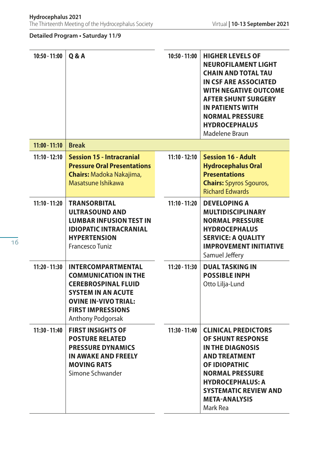| $10:50 - 11:00$ | Q & A                                                                                                                                                                                               | 10:50 - 11:00   | <b>HIGHER LEVELS OF</b><br><b>NEUROFILAMENT LIGHT</b><br><b>CHAIN AND TOTAL TAU</b><br>IN CSF ARE ASSOCIATED<br><b>WITH NEGATIVE OUTCOME</b><br><b>AFTER SHUNT SURGERY</b><br><b>IN PATIENTS WITH</b><br><b>NORMAL PRESSURE</b><br><b>HYDROCEPHALUS</b><br>Madelene Braun |
|-----------------|-----------------------------------------------------------------------------------------------------------------------------------------------------------------------------------------------------|-----------------|---------------------------------------------------------------------------------------------------------------------------------------------------------------------------------------------------------------------------------------------------------------------------|
| $11:00 - 11:10$ | <b>Break</b>                                                                                                                                                                                        |                 |                                                                                                                                                                                                                                                                           |
| $11:10 - 12:10$ | <b>Session 15 - Intracranial</b><br><b>Pressure Oral Presentations</b><br><b>Chairs: Madoka Nakajima,</b><br>Masatsune Ishikawa                                                                     | $11:10 - 12:10$ | <b>Session 16 - Adult</b><br><b>Hydrocephalus Oral</b><br><b>Presentations</b><br><b>Chairs:</b> Spyros Sgouros,<br><b>Richard Edwards</b>                                                                                                                                |
| $11:10 - 11:20$ | <b>TRANSORBITAL</b><br><b>ULTRASOUND AND</b><br><b>LUMBAR INFUSION TEST IN</b><br><b>IDIOPATIC INTRACRANIAL</b><br><b>HYPERTENSION</b><br>Francesco Tuniz                                           | $11:10 - 11:20$ | <b>DEVELOPING A</b><br><b>MULTIDISCIPLINARY</b><br><b>NORMAL PRESSURE</b><br><b>HYDROCEPHALUS</b><br><b>SERVICE: A QUALITY</b><br><b>IMPROVEMENT INITIATIVE</b><br>Samuel Jeffery                                                                                         |
| 11:20 - 11:30   | <b>INTERCOMPARTMENTAL</b><br><b>COMMUNICATION IN THE</b><br><b>CEREBROSPINAL FLUID</b><br><b>SYSTEM IN AN ACUTE</b><br><b>OVINE IN-VIVO TRIAL:</b><br><b>FIRST IMPRESSIONS</b><br>Anthony Podgorsak | 11:20 - 11:30   | <b>DUAL TASKING IN</b><br><b>POSSIBLE INPH</b><br>Otto Lilja-Lund                                                                                                                                                                                                         |
| 11:30 - 11:40   | <b>FIRST INSIGHTS OF</b><br><b>POSTURE RELATED</b><br><b>PRESSURE DYNAMICS</b><br>IN AWAKE AND FREELY<br><b>MOVING RATS</b><br>Simone Schwander                                                     | 11:30 - 11:40   | <b>CLINICAL PREDICTORS</b><br>OF SHUNT RESPONSE<br><b>IN THE DIAGNOSIS</b><br><b>AND TREATMENT</b><br>OF IDIOPATHIC<br><b>NORMAL PRESSURE</b><br><b>HYDROCEPHALUS: A</b><br><b>SYSTEMATIC REVIEW AND</b><br><b>META-ANALYSIS</b><br>Mark Rea                              |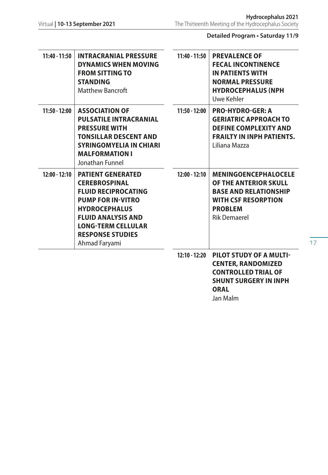**ORAL** Jan Malm

**Detailed Program • Saturday 11/9**

| 11:40 - 11:50   | <b>INTRACRANIAL PRESSURE</b><br>DYNAMICS WHEN MOVING<br><b>FROM SITTING TO</b><br><b>STANDING</b><br><b>Matthew Bancroft</b>                                                                                                             | $11:40 - 11:50$ | <b>PREVALENCE OF</b><br><b>FECAL INCONTINENCE</b><br><b>IN PATIENTS WITH</b><br><b>NORMAL PRESSURE</b><br><b>HYDROCEPHALUS (NPH)</b><br>Uwe Kehler          |
|-----------------|------------------------------------------------------------------------------------------------------------------------------------------------------------------------------------------------------------------------------------------|-----------------|-------------------------------------------------------------------------------------------------------------------------------------------------------------|
| $11:50 - 12:00$ | <b>ASSOCIATION OF</b><br><b>PULSATILE INTRACRANIAL</b><br><b>PRESSURE WITH</b><br><b>TONSILLAR DESCENT AND</b><br><b>SYRINGOMYELIA IN CHIARI</b><br><b>MALFORMATION I</b><br>Jonathan Funnel                                             | 11:50 - 12:00   | <b>PRO-HYDRO-GER: A</b><br><b>GERIATRIC APPROACH TO</b><br><b>DEFINE COMPLEXITY AND</b><br><b>FRAILTY IN INPH PATIENTS.</b><br>Liliana Mazza                |
| $12:00 - 12:10$ | <b>PATIENT GENERATED</b><br><b>CEREBROSPINAL</b><br><b>FLUID RECIPROCATING</b><br><b>PUMP FOR IN-VITRO</b><br><b>HYDROCEPHALUS</b><br><b>FLUID ANALYSIS AND</b><br><b>LONG-TERM CELLULAR</b><br><b>RESPONSE STUDIES</b><br>Ahmad Faryami | $12:00 - 12:10$ | <b>MENINGOENCEPHALOCELE</b><br>OF THE ANTERIOR SKULL<br><b>BASE AND RELATIONSHIP</b><br><b>WITH CSF RESORPTION</b><br><b>PROBLEM</b><br><b>Rik Demaerel</b> |
|                 |                                                                                                                                                                                                                                          | 12:10 - 12:20   | PILOT STUDY OF A MULTI-<br><b>CENTER, RANDOMIZED</b><br><b>CONTROLLED TRIAL OF</b><br><b>SHUNT SURGERY IN INPH</b>                                          |

17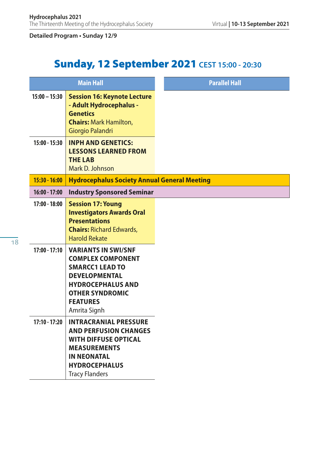# Sunday, 12 September 2021 **CEST 15:00 - 20:30**

|                 | <b>Main Hall</b>                                                                                                                                                                                  | <b>Parallel Hall</b> |
|-----------------|---------------------------------------------------------------------------------------------------------------------------------------------------------------------------------------------------|----------------------|
| $15:00 - 15:30$ | <b>Session 16: Keynote Lecture</b><br>- Adult Hydrocephalus -<br><b>Genetics</b><br><b>Chairs: Mark Hamilton,</b><br>Giorgio Palandri                                                             |                      |
| $15:00 - 15:30$ | <b>INPH AND GENETICS:</b><br><b>LESSONS LEARNED FROM</b><br><b>THE LAB</b><br>Mark D. Johnson                                                                                                     |                      |
| $15:30 - 16:00$ | <b>Hydrocephalus Society Annual General Meeting</b>                                                                                                                                               |                      |
| $16:00 - 17:00$ | <b>Industry Sponsored Seminar</b>                                                                                                                                                                 |                      |
| $17:00 - 18:00$ | <b>Session 17: Young</b><br><b>Investigators Awards Oral</b><br><b>Presentations</b><br><b>Chairs: Richard Edwards,</b><br><b>Harold Rekate</b>                                                   |                      |
| $17:00 - 17:10$ | <b>VARIANTS IN SWI/SNF</b><br><b>COMPLEX COMPONENT</b><br><b>SMARCC1 LEAD TO</b><br><b>DEVELOPMENTAL</b><br><b>HYDROCEPHALUS AND</b><br><b>OTHER SYNDROMIC</b><br><b>FEATURES</b><br>Amrita Signh |                      |
| $17:10 - 17:20$ | <b>INTRACRANIAL PRESSURE</b><br><b>AND PERFUSION CHANGES</b><br><b>WITH DIFFUSE OPTICAL</b><br><b>MEASUREMENTS</b><br><b>IN NEONATAL</b><br><b>HYDROCEPHALUS</b><br><b>Tracy Flanders</b>         |                      |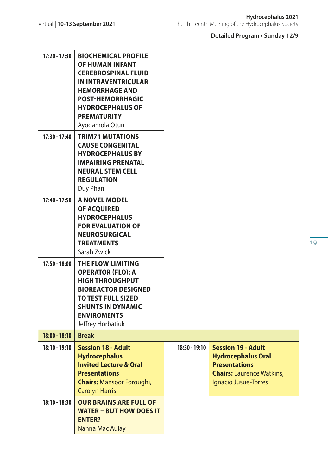| 17:20 - 17:30   | <b>BIOCHEMICAL PROFILE</b><br>OF HUMAN INFANT<br><b>CEREBROSPINAL FLUID</b><br><b>IN INTRAVENTRICULAR</b><br><b>HEMORRHAGE AND</b><br><b>POST-HEMORRHAGIC</b><br><b>HYDROCEPHALUS OF</b><br><b>PREMATURITY</b><br>Ayodamola Otun |                 |                                                                                                                                            |
|-----------------|----------------------------------------------------------------------------------------------------------------------------------------------------------------------------------------------------------------------------------|-----------------|--------------------------------------------------------------------------------------------------------------------------------------------|
| 17:30 - 17:40   | <b>TRIM71 MUTATIONS</b><br><b>CAUSE CONGENITAL</b><br><b>HYDROCEPHALUS BY</b><br><b>IMPAIRING PRENATAL</b><br><b>NEURAL STEM CELL</b><br><b>REGULATION</b><br>Duy Phan                                                           |                 |                                                                                                                                            |
| 17:40 - 17:50   | A NOVEL MODEL<br>OF ACQUIRED<br><b>HYDROCEPHALUS</b><br><b>FOR EVALUATION OF</b><br><b>NEUROSURGICAL</b><br><b>TREATMENTS</b><br>Sarah Zwick                                                                                     |                 |                                                                                                                                            |
| 17:50 - 18:00   | THE FLOW LIMITING<br><b>OPERATOR (FLO): A</b><br><b>HIGH THROUGHPUT</b><br><b>BIOREACTOR DESIGNED</b><br><b>TO TEST FULL SIZED</b><br><b>SHUNTS IN DYNAMIC</b><br><b>ENVIROMENTS</b><br>Jeffrey Horbatiuk                        |                 |                                                                                                                                            |
| $18:00 - 18:10$ | <b>Break</b>                                                                                                                                                                                                                     |                 |                                                                                                                                            |
| 18:10 - 19:10   | <b>Session 18 - Adult</b><br><b>Hydrocephalus</b><br><b>Invited Lecture &amp; Oral</b><br><b>Presentations</b><br><b>Chairs: Mansoor Foroughi,</b><br><b>Carolyn Harris</b>                                                      | $18:30 - 19:10$ | <b>Session 19 - Adult</b><br><b>Hydrocephalus Oral</b><br><b>Presentations</b><br><b>Chairs:</b> Laurence Watkins,<br>Ignacio Jusue-Torres |
| $18:10 - 18:30$ | <b>OUR BRAINS ARE FULL OF</b><br><b>WATER - BUT HOW DOES IT</b><br><b>ENTER?</b><br>Nanna Mac Aulay                                                                                                                              |                 |                                                                                                                                            |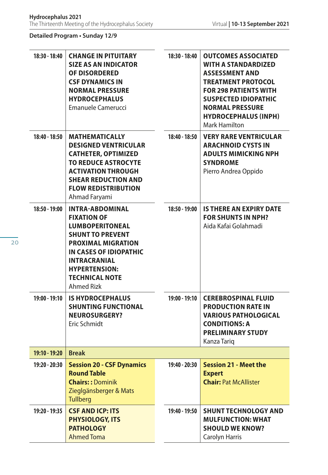| 18:30 - 18:40 | <b>CHANGE IN PITUITARY</b><br><b>SIZE AS AN INDICATOR</b><br>OF DISORDERED<br><b>CSF DYNAMICS IN</b><br><b>NORMAL PRESSURE</b><br><b>HYDROCEPHALUS</b><br>Emanuele Camerucci                                                                          | 18:30 - 18:40 | <b>OUTCOMES ASSOCIATED</b><br><b>WITH A STANDARDIZED</b><br><b>ASSESSMENT AND</b><br><b>TREATMENT PROTOCOL</b><br><b>FOR 298 PATIENTS WITH</b><br><b>SUSPECTED IDIOPATHIC</b><br><b>NORMAL PRESSURE</b><br><b>HYDROCEPHALUS (INPH)</b><br>Mark Hamilton |
|---------------|-------------------------------------------------------------------------------------------------------------------------------------------------------------------------------------------------------------------------------------------------------|---------------|---------------------------------------------------------------------------------------------------------------------------------------------------------------------------------------------------------------------------------------------------------|
| 18:40 - 18:50 | <b>MATHEMATICALLY</b><br><b>DESIGNED VENTRICULAR</b><br><b>CATHETER, OPTIMIZED</b><br><b>TO REDUCE ASTROCYTE</b><br><b>ACTIVATION THROUGH</b><br><b>SHEAR REDUCTION AND</b><br><b>FLOW REDISTRIBUTION</b><br>Ahmad Faryami                            | 18:40 - 18:50 | <b>VERY RARE VENTRICULAR</b><br><b>ARACHNOID CYSTS IN</b><br><b>ADULTS MIMICKING NPH</b><br><b>SYNDROME</b><br>Pierro Andrea Oppido                                                                                                                     |
| 18:50 - 19:00 | <b>INTRA-ABDOMINAL</b><br><b>FIXATION OF</b><br><b>LUMBOPERITONEAL</b><br><b>SHUNT TO PREVENT</b><br><b>PROXIMAL MIGRATION</b><br>IN CASES OF IDIOPATHIC<br><b>INTRACRANIAL</b><br><b>HYPERTENSION:</b><br><b>TECHNICAL NOTE</b><br><b>Ahmed Rizk</b> | 18:50 - 19:00 | <b>IS THERE AN EXPIRY DATE</b><br><b>FOR SHUNTS IN NPH?</b><br>Aida Kafai Golahmadi                                                                                                                                                                     |
| 19:00 - 19:10 | <b>IS HYDROCEPHALUS</b><br><b>SHUNTING FUNCTIONAL</b><br><b>NEUROSURGERY?</b><br>Eric Schmidt                                                                                                                                                         | 19:00 - 19:10 | <b>CEREBROSPINAL FLUID</b><br><b>PRODUCTION RATE IN</b><br><b>VARIOUS PATHOLOGICAL</b><br><b>CONDITIONS: A</b><br><b>PRELIMINARY STUDY</b><br>Kanza Tariq                                                                                               |
| 19:10 - 19:20 | <b>Break</b>                                                                                                                                                                                                                                          |               |                                                                                                                                                                                                                                                         |
| 19:20 - 20:30 | <b>Session 20 - CSF Dynamics</b><br><b>Round Table</b><br><b>Chairs:: Dominik</b><br>Zieglgänsberger & Mats<br><b>Tullberg</b>                                                                                                                        | 19:40 - 20:30 | <b>Session 21 - Meet the</b><br><b>Expert</b><br><b>Chair: Pat McAllister</b>                                                                                                                                                                           |
| 19:20 - 19:35 | <b>CSF AND ICP: ITS</b><br><b>PHYSIOLOGY, ITS</b><br><b>PATHOLOGY</b><br><b>Ahmed Toma</b>                                                                                                                                                            | 19:40 - 19:50 | <b>SHUNT TECHNOLOGY AND</b><br><b>MULFUNCTION: WHAT</b><br><b>SHOULD WE KNOW?</b><br>Carolyn Harris                                                                                                                                                     |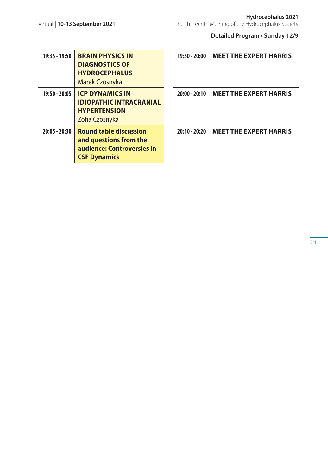| 19:35 - 19:50   | <b>BRAIN PHYSICS IN</b><br><b>DIAGNOSTICS OF</b><br><b>HYDROCEPHALUS</b><br>Marek Czosnyka                   | $19:50 - 20:00$ | <b>MEET THE EXPERT HARRIS</b> |
|-----------------|--------------------------------------------------------------------------------------------------------------|-----------------|-------------------------------|
| 19:50 - 20:05   | <b>ICP DYNAMICS IN</b><br><b>IDIOPATHIC INTRACRANIAL</b><br><b>HYPERTENSION</b><br>Zofia Czosnyka            | $20:00 - 20:10$ | <b>MEET THE EXPERT HARRIS</b> |
| $20:05 - 20:30$ | <b>Round table discussion</b><br>and questions from the<br>audience: Controversies in<br><b>CSF Dynamics</b> | $20:10 - 20:20$ | <b>MEET THE EXPERT HARRIS</b> |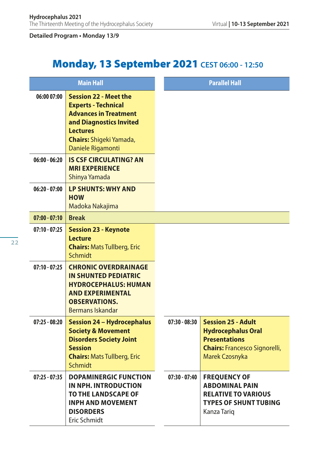# Monday, 13 September 2021 **CEST 06:00 - 12:50**

|                 | <b>Main Hall</b>                                                                                                                                                                                |                 | <b>Parallel Hall</b>                                                                                                                            |
|-----------------|-------------------------------------------------------------------------------------------------------------------------------------------------------------------------------------------------|-----------------|-------------------------------------------------------------------------------------------------------------------------------------------------|
| 06:00 07:00     | <b>Session 22 - Meet the</b><br><b>Experts - Technical</b><br><b>Advances in Treatment</b><br>and Diagnostics Invited<br><b>Lectures</b><br><b>Chairs:</b> Shigeki Yamada,<br>Daniele Rigamonti |                 |                                                                                                                                                 |
| $06:00 - 06:20$ | <b>IS CSF CIRCULATING? AN</b><br><b>MRI EXPERIENCE</b><br>Shinya Yamada                                                                                                                         |                 |                                                                                                                                                 |
| $06:20 - 07:00$ | <b>LP SHUNTS: WHY AND</b><br><b>HOW</b><br>Madoka Nakajima                                                                                                                                      |                 |                                                                                                                                                 |
| $07:00 - 07:10$ | <b>Break</b>                                                                                                                                                                                    |                 |                                                                                                                                                 |
| $07:10 - 07:25$ | <b>Session 23 - Keynote</b><br><b>Lecture</b><br><b>Chairs: Mats Tullberg, Eric</b><br>Schmidt                                                                                                  |                 |                                                                                                                                                 |
| $07:10 - 07:25$ | <b>CHRONIC OVERDRAINAGE</b><br><b>IN SHUNTED PEDIATRIC</b><br><b>HYDROCEPHALUS: HUMAN</b><br><b>AND EXPERIMENTAL</b><br><b>OBSERVATIONS.</b><br><b>Bermans Iskandar</b>                         |                 |                                                                                                                                                 |
| $07:25 - 08:20$ | <b>Session 24 - Hydrocephalus</b><br><b>Society &amp; Movement</b><br><b>Disorders Society Joint</b><br><b>Session</b><br><b>Chairs: Mats Tullberg, Eric</b><br><b>Schmidt</b>                  | $07:30 - 08:30$ | <b>Session 25 - Adult</b><br><b>Hydrocephalus Oral</b><br><b>Presentations</b><br><b>Chairs: Francesco Signorelli,</b><br><b>Marek Czosnyka</b> |
| $07:25 - 07:35$ | <b>DOPAMINERGIC FUNCTION</b><br>IN NPH. INTRODUCTION<br><b>TO THE LANDSCAPE OF</b><br><b>INPH AND MOVEMENT</b><br><b>DISORDERS</b><br>Eric Schmidt                                              | $07:30 - 07:40$ | <b>FREQUENCY OF</b><br><b>ABDOMINAL PAIN</b><br><b>RELATIVE TO VARIOUS</b><br><b>TYPES OF SHUNT TUBING</b><br>Kanza Tarig                       |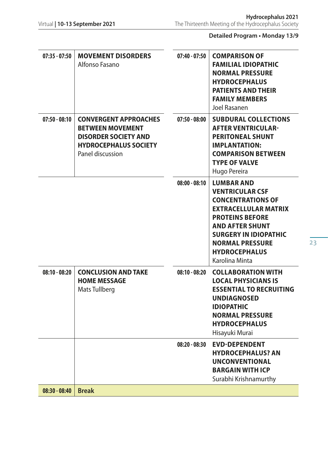| $07:35 - 07:50$ | <b>MOVEMENT DISORDERS</b><br>Alfonso Fasano                                                                                                | $07:40 - 07:50$ | <b>COMPARISON OF</b><br><b>FAMILIAL IDIOPATHIC</b><br><b>NORMAL PRESSURE</b><br><b>HYDROCEPHALUS</b><br><b>PATIENTS AND THEIR</b><br><b>FAMILY MEMBERS</b><br>Joel Rasanen                                                                                     |
|-----------------|--------------------------------------------------------------------------------------------------------------------------------------------|-----------------|----------------------------------------------------------------------------------------------------------------------------------------------------------------------------------------------------------------------------------------------------------------|
| $07:50 - 08:10$ | <b>CONVERGENT APPROACHES</b><br><b>BETWEEN MOVEMENT</b><br><b>DISORDER SOCIETY AND</b><br><b>HYDROCEPHALUS SOCIETY</b><br>Panel discussion | $07:50 - 08:00$ | <b>SUBDURAL COLLECTIONS</b><br><b>AFTER VENTRICULAR-</b><br><b>PERITONEAL SHUNT</b><br><b>IMPLANTATION:</b><br><b>COMPARISON BETWEEN</b><br><b>TYPE OF VALVE</b><br>Hugo Pereira                                                                               |
|                 |                                                                                                                                            | $08:00 - 08:10$ | <b>LUMBAR AND</b><br><b>VENTRICULAR CSF</b><br><b>CONCENTRATIONS OF</b><br><b>EXTRACELLULAR MATRIX</b><br><b>PROTEINS BEFORE</b><br><b>AND AFTER SHUNT</b><br><b>SURGERY IN IDIOPATHIC</b><br><b>NORMAL PRESSURE</b><br><b>HYDROCEPHALUS</b><br>Karolina Minta |
| $08:10 - 08:20$ | <b>CONCLUSION AND TAKE</b><br><b>HOME MESSAGE</b><br>Mats Tullberg                                                                         | $08:10 - 08:20$ | <b>COLLABORATION WITH</b><br>LOCAL PHYSICIANS IS<br><b>ESSENTIAL TO RECRUITING</b><br><b>UNDIAGNOSED</b><br><b>IDIOPATHIC</b><br><b>NORMAL PRESSURE</b><br><b>HYDROCEPHALUS</b><br>Hisayuki Murai                                                              |
|                 |                                                                                                                                            | $08:20 - 08:30$ | <b>EVD-DEPENDENT</b><br><b>HYDROCEPHALUS? AN</b><br><b>UNCONVENTIONAL</b><br><b>BARGAIN WITH ICP</b><br>Surabhi Krishnamurthy                                                                                                                                  |
| $08:30 - 08:40$ | <b>Break</b>                                                                                                                               |                 |                                                                                                                                                                                                                                                                |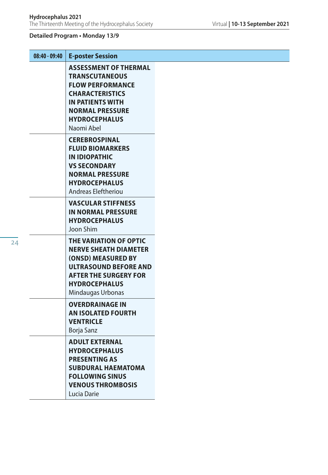| $08:40 - 09:40$ | <b>E-poster Session</b>                                                                                                                                                                        |  |
|-----------------|------------------------------------------------------------------------------------------------------------------------------------------------------------------------------------------------|--|
|                 | <b>ASSESSMENT OF THERMAL</b><br><b>TRANSCUTANEOUS</b><br><b>FLOW PERFORMANCE</b><br><b>CHARACTERISTICS</b><br>IN PATIENTS WITH<br><b>NORMAL PRESSURE</b><br><b>HYDROCEPHALUS</b><br>Naomi Abel |  |
|                 | <b>CEREBROSPINAL</b><br><b>FLUID BIOMARKERS</b><br>IN IDIOPATHIC<br><b>VS SECONDARY</b><br><b>NORMAL PRESSURE</b><br><b>HYDROCEPHALUS</b><br>Andreas Eleftheriou                               |  |
|                 | <b>VASCULAR STIFFNESS</b><br><b>IN NORMAL PRESSURE</b><br><b>HYDROCEPHALUS</b><br>Joon Shim                                                                                                    |  |
|                 | THE VARIATION OF OPTIC<br><b>NERVE SHEATH DIAMETER</b><br>(ONSD) MEASURED BY<br><b>ULTRASOUND BEFORE AND</b><br><b>AFTER THE SURGERY FOR</b><br><b>HYDROCEPHALUS</b><br>Mindaugas Urbonas      |  |
|                 | <b>OVERDRAINAGE IN</b><br><b>AN ISOLATED FOURTH</b><br><b>VENTRICLE</b><br>Borja Sanz                                                                                                          |  |
|                 | <b>ADULT EXTERNAL</b><br><b>HYDROCEPHALUS</b><br><b>PRESENTING AS</b><br><b>SUBDURAL HAEMATOMA</b><br><b>FOLLOWING SINUS</b><br><b>VENOUS THROMBOSIS</b><br>Lucia Darie                        |  |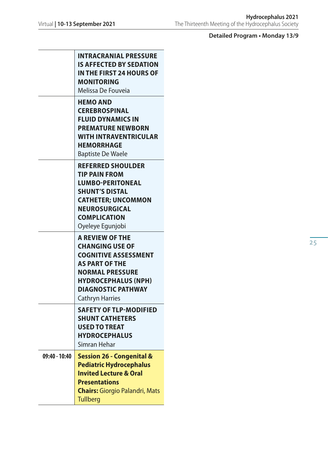T

|               | <b>INTRACRANIAL PRESSURE</b><br><b>IS AFFECTED BY SEDATION</b><br>IN THE FIRST 24 HOURS OF<br><b>MONITORING</b><br>Melissa De Fouveia                                                                                   |
|---------------|-------------------------------------------------------------------------------------------------------------------------------------------------------------------------------------------------------------------------|
|               | <b>HEMO AND</b><br><b>CEREBROSPINAL</b><br><b>FLUID DYNAMICS IN</b><br><b>PREMATURE NEWBORN</b><br><b>WITH INTRAVENTRICULAR</b><br><b>HEMORRHAGE</b><br><b>Baptiste De Waele</b>                                        |
|               | <b>REFERRED SHOULDER</b><br><b>TIP PAIN FROM</b><br><b>LUMBO-PERITONEAL</b><br><b>SHUNT'S DISTAL</b><br><b>CATHETER; UNCOMMON</b><br><b>NEUROSURGICAL</b><br><b>COMPLICATION</b><br>Oyeleye Egunjobi                    |
|               | <b>A REVIEW OF THE</b><br><b>CHANGING USE OF</b><br><b>COGNITIVE ASSESSMENT</b><br><b>AS PART OF THE</b><br><b>NORMAL PRESSURE</b><br><b>HYDROCEPHALUS (NPH)</b><br><b>DIAGNOSTIC PATHWAY</b><br><b>Cathryn Harries</b> |
|               | <b>SAFETY OF TLP-MODIFIED</b><br><b>SHUNT CATHETERS</b><br><b>USED TO TREAT</b><br><b>HYDROCEPHALUS</b><br>Simran Hehar                                                                                                 |
| 09:40 - 10:40 | <b>Session 26 - Congenital &amp;</b><br><b>Pediatric Hydrocephalus</b><br><b>Invited Lecture &amp; Oral</b><br><b>Presentations</b><br><b>Chairs:</b> Giorgio Palandri, Mats<br><b>Tullberg</b>                         |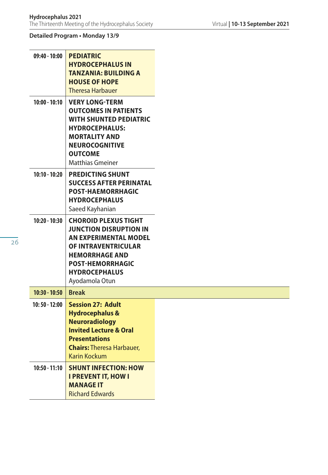| $09:40 - 10:00$ | <b>PEDIATRIC</b><br><b>HYDROCEPHALUS IN</b><br><b>TANZANIA: BUILDING A</b><br><b>HOUSE OF HOPE</b><br><b>Theresa Harbauer</b>                                                                                            |
|-----------------|--------------------------------------------------------------------------------------------------------------------------------------------------------------------------------------------------------------------------|
| $10:00 - 10:10$ | <b>VERY LONG-TERM</b><br><b>OUTCOMES IN PATIENTS</b><br><b>WITH SHUNTED PEDIATRIC</b><br><b>HYDROCEPHALUS:</b><br><b>MORTALITY AND</b><br><b>NEUROCOGNITIVE</b><br><b>OUTCOME</b><br><b>Matthias Gmeiner</b>             |
| $10:10 - 10:20$ | <b>PREDICTING SHUNT</b><br><b>SUCCESS AFTER PERINATAL</b><br>POST-HAEMORRHAGIC<br><b>HYDROCEPHALUS</b><br>Saeed Kayhanian                                                                                                |
| $10:20 - 10:30$ | <b>CHOROID PLEXUS TIGHT</b><br><b>JUNCTION DISRUPTION IN</b><br><b>AN EXPERIMENTAL MODEL</b><br><b>OF INTRAVENTRICULAR</b><br><b>HEMORRHAGE AND</b><br><b>POST-HEMORRHAGIC</b><br><b>HYDROCEPHALUS</b><br>Ayodamola Otun |
| $10:30 - 10:50$ | <b>Break</b>                                                                                                                                                                                                             |
| $10:50 - 12:00$ | <b>Session 27: Adult</b><br><b>Hydrocephalus &amp;</b><br><b>Neuroradiology</b><br><b>Invited Lecture &amp; Oral</b><br><b>Presentations</b><br><b>Chairs: Theresa Harbauer,</b><br><b>Karin Kockum</b>                  |
| $10:50 - 11:10$ | <b>SHUNT INFECTION: HOW</b><br><b>I PREVENT IT, HOW I</b><br><b>MANAGE IT</b><br><b>Richard Edwards</b>                                                                                                                  |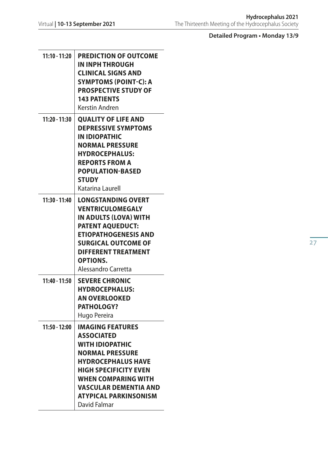| 11:10 - 11:20   | <b>PREDICTION OF OUTCOME</b><br>IN INPH THROUGH<br><b>CLINICAL SIGNS AND</b><br><b>SYMPTOMS (POINT-C): A</b><br><b>PROSPECTIVE STUDY OF</b><br><b>143 PATIENTS</b><br>Kerstin Andren                                                                                 |
|-----------------|----------------------------------------------------------------------------------------------------------------------------------------------------------------------------------------------------------------------------------------------------------------------|
| 11:20 - 11:30   | <b>QUALITY OF LIFE AND</b><br><b>DEPRESSIVE SYMPTOMS</b><br><b>IN IDIOPATHIC</b><br><b>NORMAL PRESSURE</b><br><b>HYDROCEPHALUS:</b><br><b>REPORTS FROM A</b><br><b>POPULATION-BASED</b><br><b>STUDY</b><br>Katarina Laurell                                          |
| 11:30 - 11:40   | <b>LONGSTANDING OVERT</b><br><b>VENTRICULOMEGALY</b><br>IN ADULTS (LOVA) WITH<br><b>PATENT AQUEDUCT:</b><br><b>ETIOPATHOGENESIS AND</b><br><b>SURGICAL OUTCOME OF</b><br><b>DIFFERENT TREATMENT</b><br><b>OPTIONS.</b><br>Alessandro Carretta                        |
| 11:40 - 11:50   | <b>SEVERE CHRONIC</b><br><b>HYDROCEPHALUS:</b><br><b>AN OVERLOOKED</b><br>PATHOLOGY?<br>Hugo Pereira                                                                                                                                                                 |
| $11:50 - 12:00$ | <b>IMAGING FEATURES</b><br><b>ASSOCIATED</b><br><b>WITH IDIOPATHIC</b><br><b>NORMAL PRESSURE</b><br><b>HYDROCEPHALUS HAVE</b><br><b>HIGH SPECIFICITY EVEN</b><br>WHEN COMPARING WITH<br><b>VASCULAR DEMENTIA AND</b><br><b>ATYPICAL PARKINSONISM</b><br>David Falmar |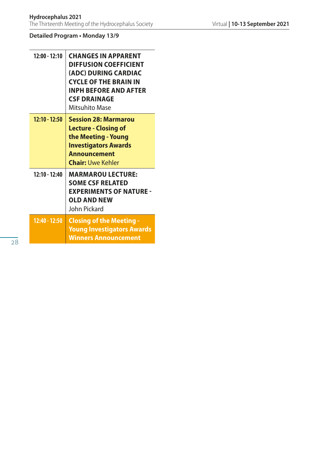| $12:00 - 12:10$ | <b>CHANGES IN APPARENT</b><br><b>DIFFUSION COEFFICIENT</b><br>(ADC) DURING CARDIAC<br><b>CYCLE OF THE BRAIN IN</b><br><b>INPH BEFORE AND AFTER</b><br><b>CSF DRAINAGE</b><br>Mitsuhito Mase |
|-----------------|---------------------------------------------------------------------------------------------------------------------------------------------------------------------------------------------|
| $12:10 - 12:50$ | <b>Session 28: Marmarou</b><br><b>Lecture - Closing of</b><br>the Meeting - Young<br><b>Investigators Awards</b><br><b>Announcement</b><br><b>Chair:</b> Uwe Kehler                         |
| $12:10 - 12:40$ | <b>MARMAROU LECTURE:</b><br><b>SOME CSF RELATED</b><br><b>EXPERIMENTS OF NATURE -</b><br><b>OLD AND NEW</b><br>John Pickard                                                                 |
| $12:40 - 12:50$ | <b>Closing of the Meeting -</b><br><b>Young Investigators Awards</b><br><b>Winners Announcement</b>                                                                                         |